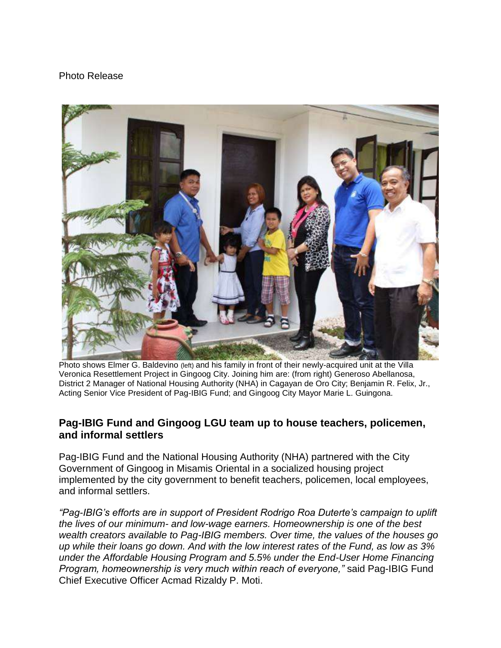## Photo Release



Photo shows Elmer G. Baldevino (left) and his family in front of their newly-acquired unit at the Villa Veronica Resettlement Project in Gingoog City. Joining him are: (from right) Generoso Abellanosa, District 2 Manager of National Housing Authority (NHA) in Cagayan de Oro City; Benjamin R. Felix, Jr., Acting Senior Vice President of Pag-IBIG Fund; and Gingoog City Mayor Marie L. Guingona.

## **Pag-IBIG Fund and Gingoog LGU team up to house teachers, policemen, and informal settlers**

Pag-IBIG Fund and the National Housing Authority (NHA) partnered with the City Government of Gingoog in Misamis Oriental in a socialized housing project implemented by the city government to benefit teachers, policemen, local employees, and informal settlers.

*"Pag-IBIG's efforts are in support of President Rodrigo Roa Duterte's campaign to uplift the lives of our minimum- and low-wage earners. Homeownership is one of the best wealth creators available to Pag-IBIG members. Over time, the values of the houses go up while their loans go down. And with the low interest rates of the Fund, as low as 3% under the Affordable Housing Program and 5.5% under the End-User Home Financing Program, homeownership is very much within reach of everyone,"* said Pag-IBIG Fund Chief Executive Officer Acmad Rizaldy P. Moti.